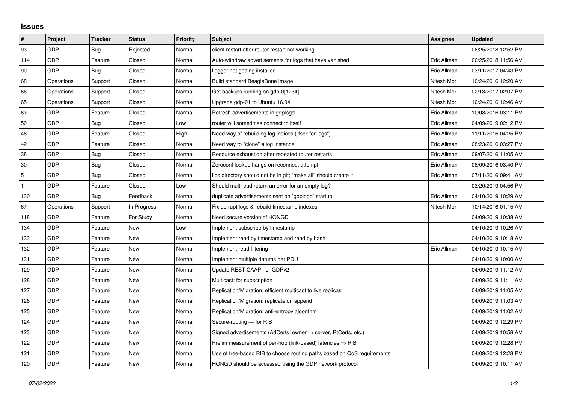## **Issues**

| $\pmb{\sharp}$ | Project    | <b>Tracker</b> | <b>Status</b> | <b>Priority</b> | <b>Subject</b>                                                             | Assignee    | <b>Updated</b>      |
|----------------|------------|----------------|---------------|-----------------|----------------------------------------------------------------------------|-------------|---------------------|
| 93             | GDP        | Bug            | Rejected      | Normal          | client restart after router restart not working                            |             | 06/25/2018 12:52 PM |
| 114            | <b>GDP</b> | Feature        | Closed        | Normal          | Auto-withdraw advertisements for logs that have vanished                   | Eric Allman | 06/25/2018 11:56 AM |
| 90             | GDP        | Bug            | Closed        | Normal          | llogger not getting installed                                              | Eric Allman | 03/11/2017 04:43 PM |
| 68             | Operations | Support        | Closed        | Normal          | Build standard BeagleBone image                                            | Nitesh Mor  | 10/24/2016 12:20 AM |
| 66             | Operations | Support        | Closed        | Normal          | Get backups running on gdp-0[1234]                                         | Nitesh Mor  | 02/13/2017 02:07 PM |
| 65             | Operations | Support        | Closed        | Normal          | Upgrade gdp-01 to Ubuntu 16.04                                             | Nitesh Mor  | 10/24/2016 12:46 AM |
| 63             | GDP        | Feature        | Closed        | Normal          | Refresh advertisements in gdplogd                                          | Eric Allman | 10/08/2016 03:11 PM |
| 50             | GDP        | Bug            | Closed        | Low             | router will sometimes connect to itself                                    | Eric Allman | 04/09/2019 02:12 PM |
| 46             | GDP        | Feature        | Closed        | High            | Need way of rebuilding log indices ("fsck for logs")                       | Eric Allman | 11/11/2016 04:25 PM |
| 42             | GDP        | Feature        | Closed        | Normal          | Need way to "clone" a log instance                                         | Eric Allman | 08/23/2016 03:27 PM |
| 38             | GDP        | <b>Bug</b>     | Closed        | Normal          | Resource exhaustion after repeated router restarts                         | Eric Allman | 09/07/2016 11:05 AM |
| 30             | GDP        | Bug            | Closed        | Normal          | Zeroconf lookup hangs on reconnect attempt                                 | Eric Allman | 08/09/2016 03:40 PM |
| 5              | GDP        | Bug            | Closed        | Normal          | libs directory should not be in git; "make all" should create it           | Eric Allman | 07/11/2016 09:41 AM |
|                | GDP        | Feature        | Closed        | Low             | Should multiread return an error for an empty log?                         |             | 03/20/2019 04:56 PM |
| 130            | GDP        | Bug            | Feedback      | Normal          | duplicate advertisements sent on `gdplogd` startup                         | Eric Allman | 04/10/2019 10:29 AM |
| 67             | Operations | Support        | In Progress   | Normal          | Fix corrupt logs & rebuild timestamp indexes                               | Nitesh Mor  | 10/14/2016 01:15 AM |
| 118            | GDP        | Feature        | For Study     | Normal          | Need secure version of HONGD                                               |             | 04/09/2019 10:38 AM |
| 134            | GDP        | Feature        | <b>New</b>    | Low             | Implement subscribe by timestamp                                           |             | 04/10/2019 10:26 AM |
| 133            | GDP        | Feature        | New           | Normal          | Implement read by timestamp and read by hash                               |             | 04/10/2019 10:18 AM |
| 132            | GDP        | Feature        | New           | Normal          | Implement read filtering                                                   | Eric Allman | 04/10/2019 10:15 AM |
| 131            | GDP        | Feature        | New           | Normal          | Implement multiple datums per PDU                                          |             | 04/10/2019 10:00 AM |
| 129            | GDP        | Feature        | <b>New</b>    | Normal          | Update REST CAAPI for GDPv2                                                |             | 04/09/2019 11:12 AM |
| 128            | GDP        | Feature        | New           | Normal          | Multicast: for subscription                                                |             | 04/09/2019 11:11 AM |
| 127            | GDP        | Feature        | New           | Normal          | Replication/Migration: efficient multicast to live replicas                |             | 04/09/2019 11:05 AM |
| 126            | GDP        | Feature        | New           | Normal          | Replication/Migration: replicate on append                                 |             | 04/09/2019 11:03 AM |
| 125            | GDP        | Feature        | New           | Normal          | Replication/Migration: anti-entropy algorithm                              |             | 04/09/2019 11:02 AM |
| 124            | GDP        | Feature        | <b>New</b>    | Normal          | Secure-routing - for RIB                                                   |             | 04/09/2019 12:29 PM |
| 123            | GDP        | Feature        | New           | Normal          | Signed advertisements (AdCerts: owner $\rightarrow$ server, RtCerts, etc.) |             | 04/09/2019 10:58 AM |
| 122            | GDP        | Feature        | New           | Normal          | Prelim measurement of per-hop (link-based) latencies $\Rightarrow$ RIB     |             | 04/09/2019 12:28 PM |
| 121            | GDP        | Feature        | New           | Normal          | Use of tree-based RIB to choose routing paths based on QoS requirements    |             | 04/09/2019 12:28 PM |
| 120            | GDP        | Feature        | New           | Normal          | HONGD should be accessed using the GDP network protocol                    |             | 04/09/2019 10:11 AM |